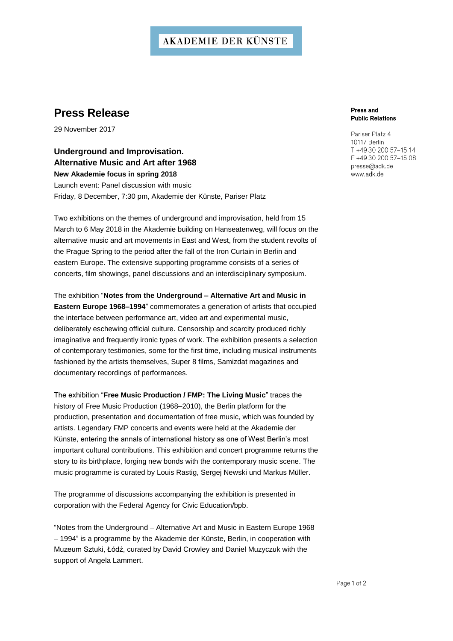## **AKADEMIE DER KÜNSTE**

## **Press Release**

29 November 2017

**Underground and Improvisation. Alternative Music and Art after 1968 New Akademie focus in spring 2018**  Launch event: Panel discussion with music Friday, 8 December, 7:30 pm, Akademie der Künste, Pariser Platz

Two exhibitions on the themes of underground and improvisation, held from 15 March to 6 May 2018 in the Akademie building on Hanseatenweg, will focus on the alternative music and art movements in East and West, from the student revolts of the Prague Spring to the period after the fall of the Iron Curtain in Berlin and eastern Europe. The extensive supporting programme consists of a series of concerts, film showings, panel discussions and an interdisciplinary symposium.

The exhibition "**Notes from the Underground – Alternative Art and Music in Eastern Europe 1968–1994**" commemorates a generation of artists that occupied the interface between performance art, video art and experimental music, deliberately eschewing official culture. Censorship and scarcity produced richly imaginative and frequently ironic types of work. The exhibition presents a selection of contemporary testimonies, some for the first time, including musical instruments fashioned by the artists themselves, Super 8 films, Samizdat magazines and documentary recordings of performances.

The exhibition "**Free Music Production / FMP: The Living Music**" traces the history of Free Music Production (1968–2010), the Berlin platform for the production, presentation and documentation of free music, which was founded by artists. Legendary FMP concerts and events were held at the Akademie der Künste, entering the annals of international history as one of West Berlin's most important cultural contributions. This exhibition and concert programme returns the story to its birthplace, forging new bonds with the contemporary music scene. The music programme is curated by Louis Rastig, Sergej Newski und Markus Müller.

The programme of discussions accompanying the exhibition is presented in corporation with the Federal Agency for Civic Education/bpb.

"Notes from the Underground – Alternative Art and Music in Eastern Europe 1968 – 1994" is a programme by the Akademie der Künste, Berlin, in cooperation with Muzeum Sztuki, Łódź, curated by David Crowley and Daniel Muzyczuk with the support of Angela Lammert.

#### Press and **Public Relations**

Pariser Platz 4 10117 Rerlin T +49 30 200 57-15 14 F +49 30 200 57-15 08 presse@adk.de www.adk.de